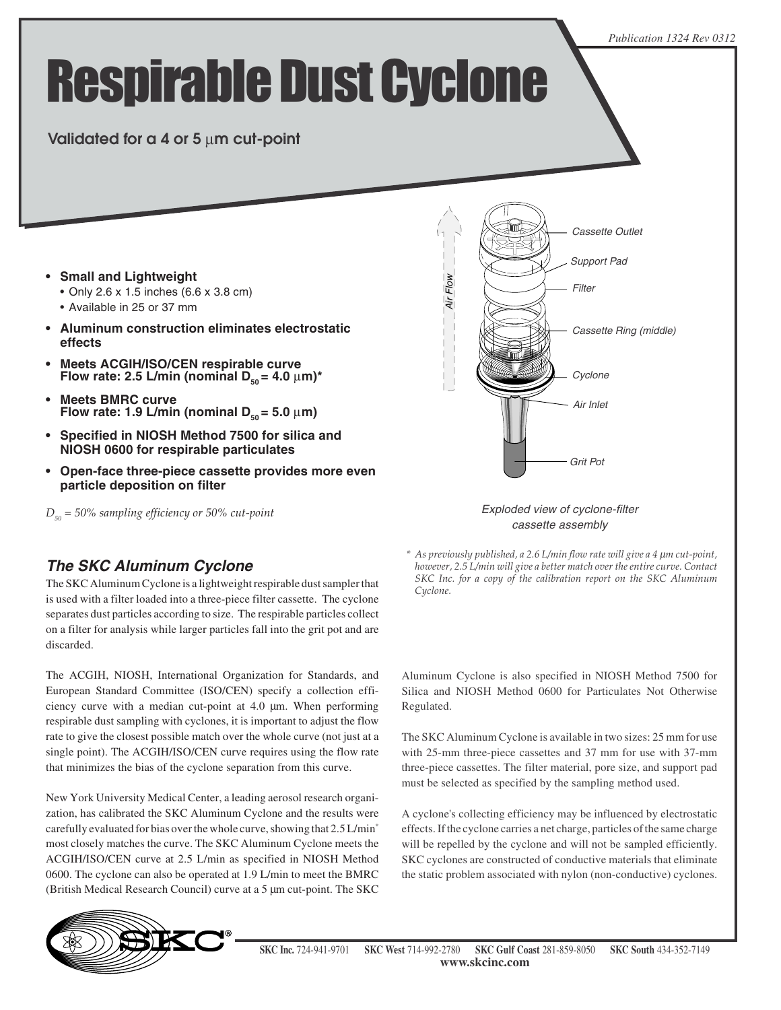#### *Publication 1324 Rev 0312*

# Respirable Dust Cyclone

### **Validated for a 4 or 5** µ**m cut-point**

- **Small and Lightweight**
	- Only 2.6 x 1.5 inches (6.6 x 3.8 cm)
	- Available in 25 or 37 mm
- **Aluminum construction eliminates electrostatic effects**
- **Heets ACGIH/ISO/CEN respirable curve Flow rate: 2.5 L/min (nominal D<sub>so</sub> = 4.0 µm)<sup>\*</sup>**
- **Meets BMRC curve Flow rate: 1.9 L/min (nominal**  $D_{50} = 5.0 \mu m$ **)**
- **Specified in NIOSH Method 7500 for silica and NIOSH 0600 for respirable particulates**
- **Open-face three-piece cassette provides more even particle deposition on filter**

*D50 = 50% sampling efficiency or 50% cut-point*



#### Exploded view of cyclone-filter cassette assembly

#### **The SKC Aluminum Cyclone**

The SKC Aluminum Cyclone is a lightweight respirable dust sampler that is used with a filter loaded into a three-piece filter cassette. The cyclone separates dust particles according to size. The respirable particles collect on a filter for analysis while larger particles fall into the grit pot and are discarded.

The ACGIH, NIOSH, International Organization for Standards, and European Standard Committee (ISO/CEN) specify a collection efficiency curve with a median cut-point at 4.0 µm. When performing respirable dust sampling with cyclones, it is important to adjust the flow rate to give the closest possible match over the whole curve (not just at a single point). The ACGIH/ISO/CEN curve requires using the flow rate that minimizes the bias of the cyclone separation from this curve.

New York University Medical Center, a leading aerosol research organization, has calibrated the SKC Aluminum Cyclone and the results were carefully evaluated for bias over the whole curve, showing that 2.5 L/min\* most closely matches the curve. The SKC Aluminum Cyclone meets the ACGIH/ISO/CEN curve at 2.5 L/min as specified in NIOSH Method 0600. The cyclone can also be operated at 1.9 L/min to meet the BMRC (British Medical Research Council) curve at a 5 µm cut-point. The SKC *\* As previously published, a 2.6 L/min flow rate will give a 4* µ*m cut-point, however, 2.5 L/min will give a better match over the entire curve. Contact SKC Inc. for a copy of the calibration report on the SKC Aluminum Cyclone.*

Aluminum Cyclone is also specified in NIOSH Method 7500 for Silica and NIOSH Method 0600 for Particulates Not Otherwise Regulated.

The SKC Aluminum Cyclone is available in two sizes: 25 mm for use with 25-mm three-piece cassettes and 37 mm for use with 37-mm three-piece cassettes. The filter material, pore size, and support pad must be selected as specified by the sampling method used.

A cyclone's collecting efficiency may be influenced by electrostatic effects. If the cyclone carries a net charge, particles of the same charge will be repelled by the cyclone and will not be sampled efficiently. SKC cyclones are constructed of conductive materials that eliminate the static problem associated with nylon (non-conductive) cyclones.